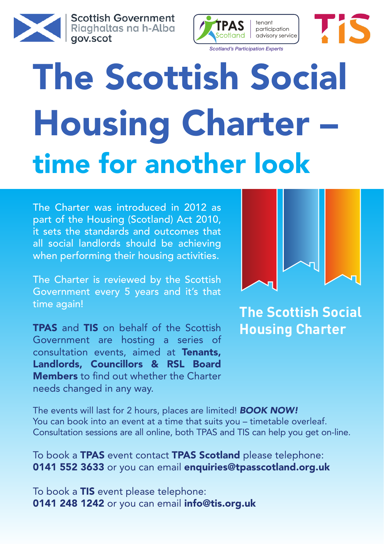

**Scottish Government** Riaghaltas na h-Alba gov.scot



## The Scottish Social Housing Charter – time for another look

The Charter was introduced in 2012 as part of the Housing (Scotland) Act 2010, it sets the standards and outcomes that all social landlords should be achieving when performing their housing activities.

The Charter is reviewed by the Scottish Government every 5 years and it's that time again!

TPAS and TIS on behalf of the Scottish Government are hosting a series of consultation events, aimed at Tenants, Landlords, Councillors & RSL Board **Members** to find out whether the Charter needs changed in any way.



TIS

**The Scottish Social Housing Charter**

The events will last for 2 hours, places are limited! *Book now!* You can book into an event at a time that suits you – timetable overleaf. Consultation sessions are all online, both TPAS and TIS can help you get on-line.

To book a **TPAS** event contact **TPAS Scotland** please telephone: 0141 552 3633 or you can email enquiries@tpasscotland.org.uk

To book a TIS event please telephone: 0141 248 1242 or you can email info@tis.org.uk